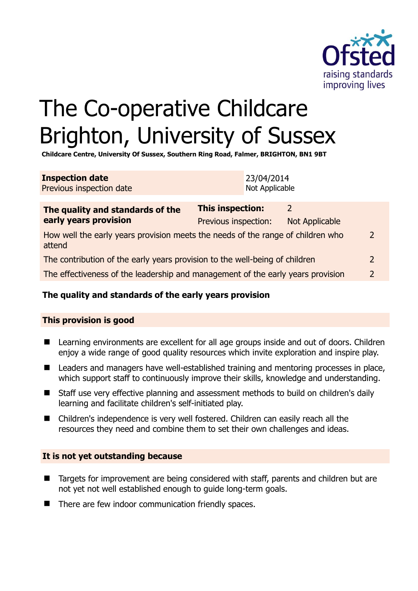

# The Co-operative Childcare Brighton, University of Sussex

**Childcare Centre, University Of Sussex, Southern Ring Road, Falmer, BRIGHTON, BN1 9BT** 

| <b>Inspection date</b>   | 23/04/2014     |
|--------------------------|----------------|
| Previous inspection date | Not Applicable |

| The quality and standards of the<br>early years provision                                 | <b>This inspection:</b> | 2              |               |
|-------------------------------------------------------------------------------------------|-------------------------|----------------|---------------|
|                                                                                           | Previous inspection:    | Not Applicable |               |
| How well the early years provision meets the needs of the range of children who<br>attend |                         |                |               |
| The contribution of the early years provision to the well-being of children               |                         |                |               |
| The effectiveness of the leadership and management of the early years provision           |                         |                | $\mathcal{D}$ |
|                                                                                           |                         |                |               |

### **The quality and standards of the early years provision**

#### **This provision is good**

- Learning environments are excellent for all age groups inside and out of doors. Children enjoy a wide range of good quality resources which invite exploration and inspire play.
- Leaders and managers have well-established training and mentoring processes in place, which support staff to continuously improve their skills, knowledge and understanding.
- Staff use very effective planning and assessment methods to build on children's daily learning and facilitate children's self-initiated play.
- Children's independence is very well fostered. Children can easily reach all the resources they need and combine them to set their own challenges and ideas.

#### **It is not yet outstanding because**

- Targets for improvement are being considered with staff, parents and children but are not yet not well established enough to guide long-term goals.
- There are few indoor communication friendly spaces.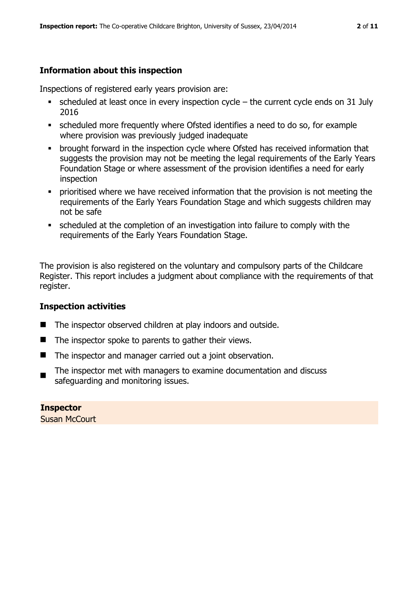#### **Information about this inspection**

Inspections of registered early years provision are:

- scheduled at least once in every inspection cycle the current cycle ends on 31 July 2016
- scheduled more frequently where Ofsted identifies a need to do so, for example where provision was previously judged inadequate
- **•** brought forward in the inspection cycle where Ofsted has received information that suggests the provision may not be meeting the legal requirements of the Early Years Foundation Stage or where assessment of the provision identifies a need for early inspection
- **•** prioritised where we have received information that the provision is not meeting the requirements of the Early Years Foundation Stage and which suggests children may not be safe
- scheduled at the completion of an investigation into failure to comply with the requirements of the Early Years Foundation Stage.

The provision is also registered on the voluntary and compulsory parts of the Childcare Register. This report includes a judgment about compliance with the requirements of that register.

#### **Inspection activities**

- The inspector observed children at play indoors and outside.
- $\blacksquare$  The inspector spoke to parents to gather their views.
- The inspector and manager carried out a joint observation.
- The inspector met with managers to examine documentation and discuss safeguarding and monitoring issues.

**Inspector**  Susan McCourt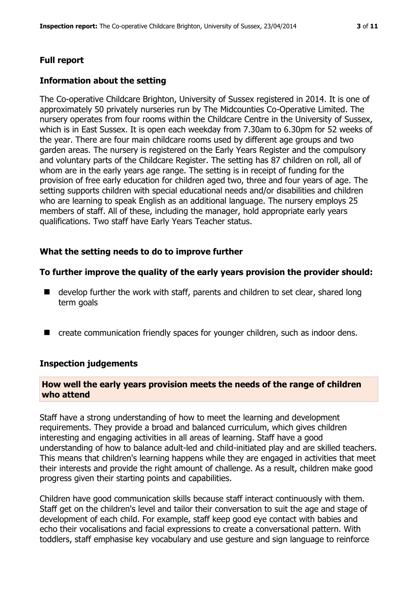#### **Full report**

#### **Information about the setting**

The Co-operative Childcare Brighton, University of Sussex registered in 2014. It is one of approximately 50 privately nurseries run by The Midcounties Co-Operative Limited. The nursery operates from four rooms within the Childcare Centre in the University of Sussex, which is in East Sussex. It is open each weekday from 7.30am to 6.30pm for 52 weeks of the year. There are four main childcare rooms used by different age groups and two garden areas. The nursery is registered on the Early Years Register and the compulsory and voluntary parts of the Childcare Register. The setting has 87 children on roll, all of whom are in the early years age range. The setting is in receipt of funding for the provision of free early education for children aged two, three and four years of age. The setting supports children with special educational needs and/or disabilities and children who are learning to speak English as an additional language. The nursery employs 25 members of staff. All of these, including the manager, hold appropriate early years qualifications. Two staff have Early Years Teacher status.

#### **What the setting needs to do to improve further**

#### **To further improve the quality of the early years provision the provider should:**

- $\blacksquare$  develop further the work with staff, parents and children to set clear, shared long term goals
- create communication friendly spaces for younger children, such as indoor dens.

#### **Inspection judgements**

#### **How well the early years provision meets the needs of the range of children who attend**

Staff have a strong understanding of how to meet the learning and development requirements. They provide a broad and balanced curriculum, which gives children interesting and engaging activities in all areas of learning. Staff have a good understanding of how to balance adult-led and child-initiated play and are skilled teachers. This means that children's learning happens while they are engaged in activities that meet their interests and provide the right amount of challenge. As a result, children make good progress given their starting points and capabilities.

Children have good communication skills because staff interact continuously with them. Staff get on the children's level and tailor their conversation to suit the age and stage of development of each child. For example, staff keep good eye contact with babies and echo their vocalisations and facial expressions to create a conversational pattern. With toddlers, staff emphasise key vocabulary and use gesture and sign language to reinforce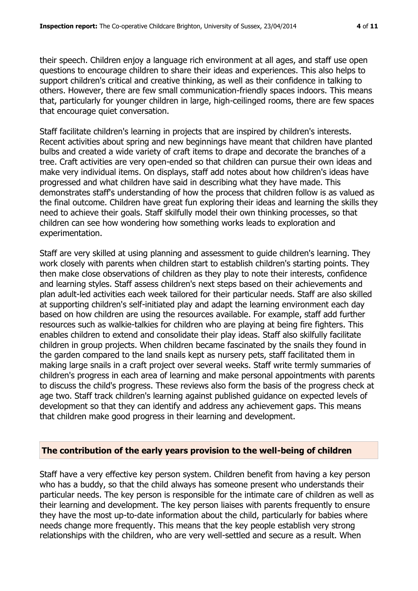their speech. Children enjoy a language rich environment at all ages, and staff use open questions to encourage children to share their ideas and experiences. This also helps to support children's critical and creative thinking, as well as their confidence in talking to others. However, there are few small communication-friendly spaces indoors. This means that, particularly for younger children in large, high-ceilinged rooms, there are few spaces that encourage quiet conversation.

Staff facilitate children's learning in projects that are inspired by children's interests. Recent activities about spring and new beginnings have meant that children have planted bulbs and created a wide variety of craft items to drape and decorate the branches of a tree. Craft activities are very open-ended so that children can pursue their own ideas and make very individual items. On displays, staff add notes about how children's ideas have progressed and what children have said in describing what they have made. This demonstrates staff's understanding of how the process that children follow is as valued as the final outcome. Children have great fun exploring their ideas and learning the skills they need to achieve their goals. Staff skilfully model their own thinking processes, so that children can see how wondering how something works leads to exploration and experimentation.

Staff are very skilled at using planning and assessment to guide children's learning. They work closely with parents when children start to establish children's starting points. They then make close observations of children as they play to note their interests, confidence and learning styles. Staff assess children's next steps based on their achievements and plan adult-led activities each week tailored for their particular needs. Staff are also skilled at supporting children's self-initiated play and adapt the learning environment each day based on how children are using the resources available. For example, staff add further resources such as walkie-talkies for children who are playing at being fire fighters. This enables children to extend and consolidate their play ideas. Staff also skilfully facilitate children in group projects. When children became fascinated by the snails they found in the garden compared to the land snails kept as nursery pets, staff facilitated them in making large snails in a craft project over several weeks. Staff write termly summaries of children's progress in each area of learning and make personal appointments with parents to discuss the child's progress. These reviews also form the basis of the progress check at age two. Staff track children's learning against published guidance on expected levels of development so that they can identify and address any achievement gaps. This means that children make good progress in their learning and development.

#### **The contribution of the early years provision to the well-being of children**

Staff have a very effective key person system. Children benefit from having a key person who has a buddy, so that the child always has someone present who understands their particular needs. The key person is responsible for the intimate care of children as well as their learning and development. The key person liaises with parents frequently to ensure they have the most up-to-date information about the child, particularly for babies where needs change more frequently. This means that the key people establish very strong relationships with the children, who are very well-settled and secure as a result. When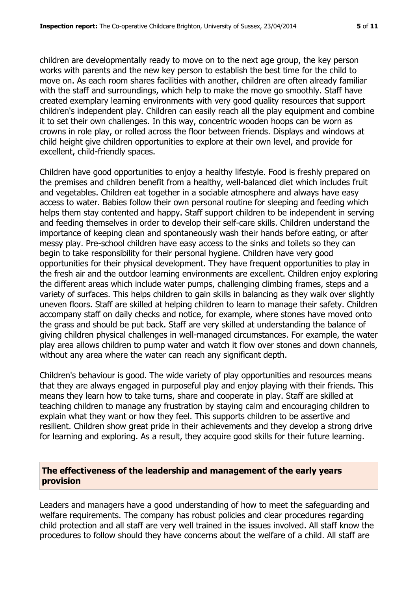children are developmentally ready to move on to the next age group, the key person works with parents and the new key person to establish the best time for the child to move on. As each room shares facilities with another, children are often already familiar with the staff and surroundings, which help to make the move go smoothly. Staff have created exemplary learning environments with very good quality resources that support children's independent play. Children can easily reach all the play equipment and combine it to set their own challenges. In this way, concentric wooden hoops can be worn as crowns in role play, or rolled across the floor between friends. Displays and windows at child height give children opportunities to explore at their own level, and provide for excellent, child-friendly spaces.

Children have good opportunities to enjoy a healthy lifestyle. Food is freshly prepared on the premises and children benefit from a healthy, well-balanced diet which includes fruit and vegetables. Children eat together in a sociable atmosphere and always have easy access to water. Babies follow their own personal routine for sleeping and feeding which helps them stay contented and happy. Staff support children to be independent in serving and feeding themselves in order to develop their self-care skills. Children understand the importance of keeping clean and spontaneously wash their hands before eating, or after messy play. Pre-school children have easy access to the sinks and toilets so they can begin to take responsibility for their personal hygiene. Children have very good opportunities for their physical development. They have frequent opportunities to play in the fresh air and the outdoor learning environments are excellent. Children enjoy exploring the different areas which include water pumps, challenging climbing frames, steps and a variety of surfaces. This helps children to gain skills in balancing as they walk over slightly uneven floors. Staff are skilled at helping children to learn to manage their safety. Children accompany staff on daily checks and notice, for example, where stones have moved onto the grass and should be put back. Staff are very skilled at understanding the balance of giving children physical challenges in well-managed circumstances. For example, the water play area allows children to pump water and watch it flow over stones and down channels, without any area where the water can reach any significant depth.

Children's behaviour is good. The wide variety of play opportunities and resources means that they are always engaged in purposeful play and enjoy playing with their friends. This means they learn how to take turns, share and cooperate in play. Staff are skilled at teaching children to manage any frustration by staying calm and encouraging children to explain what they want or how they feel. This supports children to be assertive and resilient. Children show great pride in their achievements and they develop a strong drive for learning and exploring. As a result, they acquire good skills for their future learning.

#### **The effectiveness of the leadership and management of the early years provision**

Leaders and managers have a good understanding of how to meet the safeguarding and welfare requirements. The company has robust policies and clear procedures regarding child protection and all staff are very well trained in the issues involved. All staff know the procedures to follow should they have concerns about the welfare of a child. All staff are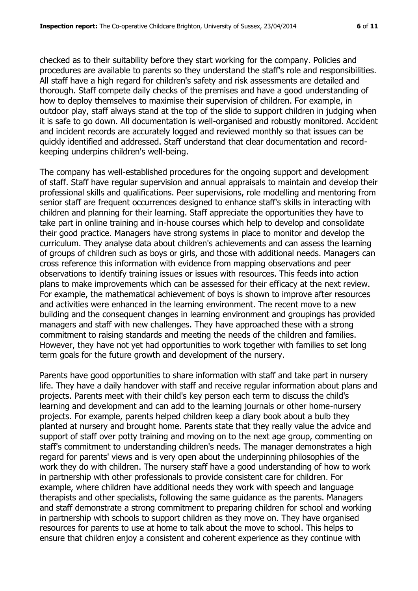checked as to their suitability before they start working for the company. Policies and procedures are available to parents so they understand the staff's role and responsibilities. All staff have a high regard for children's safety and risk assessments are detailed and thorough. Staff compete daily checks of the premises and have a good understanding of how to deploy themselves to maximise their supervision of children. For example, in outdoor play, staff always stand at the top of the slide to support children in judging when it is safe to go down. All documentation is well-organised and robustly monitored. Accident and incident records are accurately logged and reviewed monthly so that issues can be quickly identified and addressed. Staff understand that clear documentation and recordkeeping underpins children's well-being.

The company has well-established procedures for the ongoing support and development of staff. Staff have regular supervision and annual appraisals to maintain and develop their professional skills and qualifications. Peer supervisions, role modelling and mentoring from senior staff are frequent occurrences designed to enhance staff's skills in interacting with children and planning for their learning. Staff appreciate the opportunities they have to take part in online training and in-house courses which help to develop and consolidate their good practice. Managers have strong systems in place to monitor and develop the curriculum. They analyse data about children's achievements and can assess the learning of groups of children such as boys or girls, and those with additional needs. Managers can cross reference this information with evidence from mapping observations and peer observations to identify training issues or issues with resources. This feeds into action plans to make improvements which can be assessed for their efficacy at the next review. For example, the mathematical achievement of boys is shown to improve after resources and activities were enhanced in the learning environment. The recent move to a new building and the consequent changes in learning environment and groupings has provided managers and staff with new challenges. They have approached these with a strong commitment to raising standards and meeting the needs of the children and families. However, they have not yet had opportunities to work together with families to set long term goals for the future growth and development of the nursery.

Parents have good opportunities to share information with staff and take part in nursery life. They have a daily handover with staff and receive regular information about plans and projects. Parents meet with their child's key person each term to discuss the child's learning and development and can add to the learning journals or other home-nursery projects. For example, parents helped children keep a diary book about a bulb they planted at nursery and brought home. Parents state that they really value the advice and support of staff over potty training and moving on to the next age group, commenting on staff's commitment to understanding children's needs. The manager demonstrates a high regard for parents' views and is very open about the underpinning philosophies of the work they do with children. The nursery staff have a good understanding of how to work in partnership with other professionals to provide consistent care for children. For example, where children have additional needs they work with speech and language therapists and other specialists, following the same guidance as the parents. Managers and staff demonstrate a strong commitment to preparing children for school and working in partnership with schools to support children as they move on. They have organised resources for parents to use at home to talk about the move to school. This helps to ensure that children enjoy a consistent and coherent experience as they continue with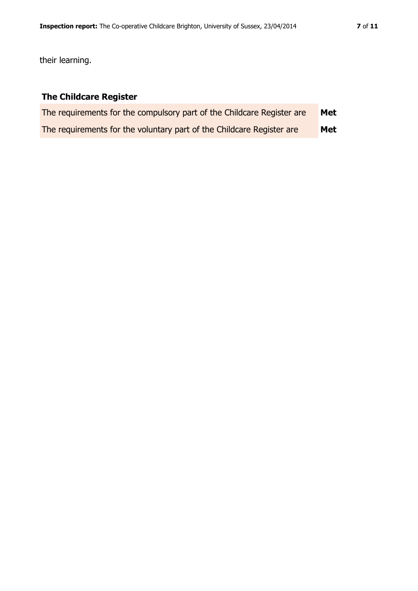their learning.

## **The Childcare Register**

| The requirements for the compulsory part of the Childcare Register are | Met |
|------------------------------------------------------------------------|-----|
| The requirements for the voluntary part of the Childcare Register are  | Met |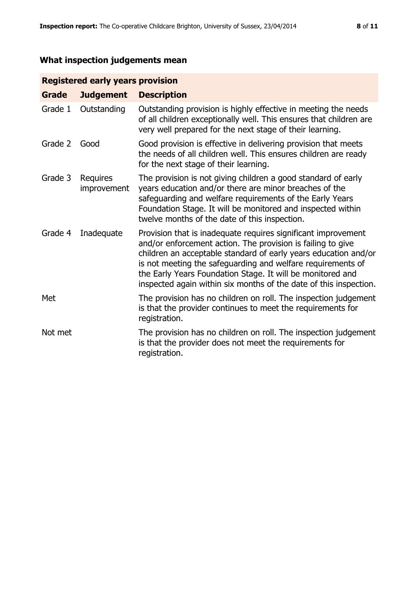# **What inspection judgements mean**

#### **Registered early years provision**

| <b>Grade</b> | <b>Judgement</b>        | <b>Description</b>                                                                                                                                                                                                                                                                                                                                                                                |
|--------------|-------------------------|---------------------------------------------------------------------------------------------------------------------------------------------------------------------------------------------------------------------------------------------------------------------------------------------------------------------------------------------------------------------------------------------------|
| Grade 1      | Outstanding             | Outstanding provision is highly effective in meeting the needs<br>of all children exceptionally well. This ensures that children are<br>very well prepared for the next stage of their learning.                                                                                                                                                                                                  |
| Grade 2      | Good                    | Good provision is effective in delivering provision that meets<br>the needs of all children well. This ensures children are ready<br>for the next stage of their learning.                                                                                                                                                                                                                        |
| Grade 3      | Requires<br>improvement | The provision is not giving children a good standard of early<br>years education and/or there are minor breaches of the<br>safeguarding and welfare requirements of the Early Years<br>Foundation Stage. It will be monitored and inspected within<br>twelve months of the date of this inspection.                                                                                               |
| Grade 4      | Inadequate              | Provision that is inadequate requires significant improvement<br>and/or enforcement action. The provision is failing to give<br>children an acceptable standard of early years education and/or<br>is not meeting the safeguarding and welfare requirements of<br>the Early Years Foundation Stage. It will be monitored and<br>inspected again within six months of the date of this inspection. |
| Met          |                         | The provision has no children on roll. The inspection judgement<br>is that the provider continues to meet the requirements for<br>registration.                                                                                                                                                                                                                                                   |
| Not met      |                         | The provision has no children on roll. The inspection judgement<br>is that the provider does not meet the requirements for<br>registration.                                                                                                                                                                                                                                                       |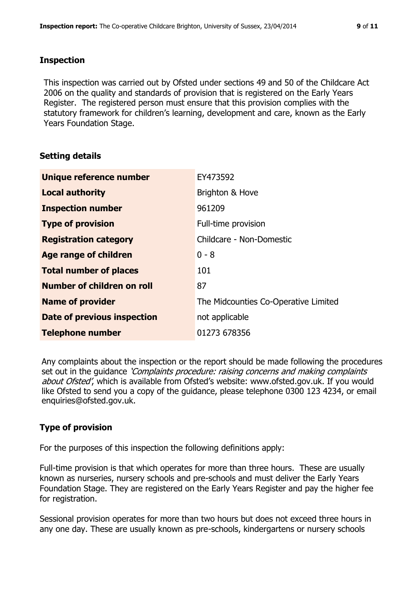#### **Inspection**

This inspection was carried out by Ofsted under sections 49 and 50 of the Childcare Act 2006 on the quality and standards of provision that is registered on the Early Years Register. The registered person must ensure that this provision complies with the statutory framework for children's learning, development and care, known as the Early Years Foundation Stage.

#### **Setting details**

| Unique reference number       | EY473592                             |
|-------------------------------|--------------------------------------|
| <b>Local authority</b>        | Brighton & Hove                      |
| <b>Inspection number</b>      | 961209                               |
| <b>Type of provision</b>      | Full-time provision                  |
| <b>Registration category</b>  | Childcare - Non-Domestic             |
| Age range of children         | $0 - 8$                              |
| <b>Total number of places</b> | 101                                  |
| Number of children on roll    | 87                                   |
| <b>Name of provider</b>       | The Midcounties Co-Operative Limited |
| Date of previous inspection   | not applicable                       |
| <b>Telephone number</b>       | 01273 678356                         |

Any complaints about the inspection or the report should be made following the procedures set out in the guidance *'Complaints procedure: raising concerns and making complaints* about Ofsted', which is available from Ofsted's website: www.ofsted.gov.uk. If you would like Ofsted to send you a copy of the guidance, please telephone 0300 123 4234, or email enquiries@ofsted.gov.uk.

#### **Type of provision**

For the purposes of this inspection the following definitions apply:

Full-time provision is that which operates for more than three hours. These are usually known as nurseries, nursery schools and pre-schools and must deliver the Early Years Foundation Stage. They are registered on the Early Years Register and pay the higher fee for registration.

Sessional provision operates for more than two hours but does not exceed three hours in any one day. These are usually known as pre-schools, kindergartens or nursery schools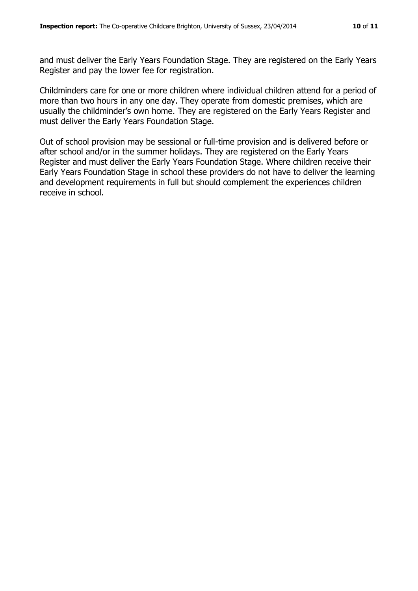and must deliver the Early Years Foundation Stage. They are registered on the Early Years Register and pay the lower fee for registration.

Childminders care for one or more children where individual children attend for a period of more than two hours in any one day. They operate from domestic premises, which are usually the childminder's own home. They are registered on the Early Years Register and must deliver the Early Years Foundation Stage.

Out of school provision may be sessional or full-time provision and is delivered before or after school and/or in the summer holidays. They are registered on the Early Years Register and must deliver the Early Years Foundation Stage. Where children receive their Early Years Foundation Stage in school these providers do not have to deliver the learning and development requirements in full but should complement the experiences children receive in school.